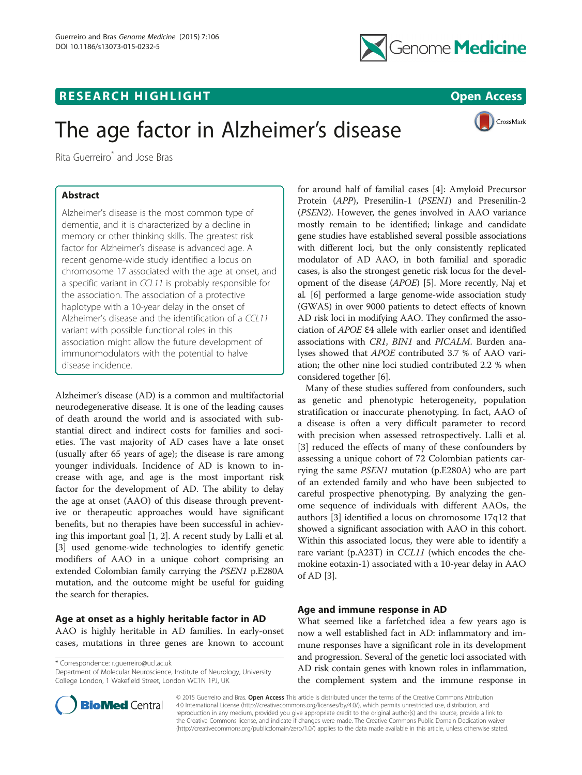



# The age factor in Alzheimer's disease

CrossMark

Rita Guerreiro\* and Jose Bras

# Abstract

Alzheimer's disease is the most common type of dementia, and it is characterized by a decline in memory or other thinking skills. The greatest risk factor for Alzheimer's disease is advanced age. A recent genome-wide study identified a locus on chromosome 17 associated with the age at onset, and a specific variant in CCL11 is probably responsible for the association. The association of a protective haplotype with a 10-year delay in the onset of Alzheimer's disease and the identification of a CCL11 variant with possible functional roles in this association might allow the future development of immunomodulators with the potential to halve disease incidence.

Alzheimer's disease (AD) is a common and multifactorial neurodegenerative disease. It is one of the leading causes of death around the world and is associated with substantial direct and indirect costs for families and societies. The vast majority of AD cases have a late onset (usually after 65 years of age); the disease is rare among younger individuals. Incidence of AD is known to increase with age, and age is the most important risk factor for the development of AD. The ability to delay the age at onset (AAO) of this disease through preventive or therapeutic approaches would have significant benefits, but no therapies have been successful in achieving this important goal [[1](#page-1-0), [2](#page-1-0)]. A recent study by Lalli et al. [[3\]](#page-1-0) used genome-wide technologies to identify genetic modifiers of AAO in a unique cohort comprising an extended Colombian family carrying the PSEN1 p.E280A mutation, and the outcome might be useful for guiding the search for therapies.

### Age at onset as a highly heritable factor in AD

AAO is highly heritable in AD families. In early-onset cases, mutations in three genes are known to account

\* Correspondence: [r.guerreiro@ucl.ac.uk](mailto:r.guerreiro@ucl.ac.uk)

Department of Molecular Neuroscience, Institute of Neurology, University College London, 1 Wakefield Street, London WC1N 1PJ, UK



for around half of familial cases [[4\]](#page-1-0): Amyloid Precursor Protein (APP), Presenilin-1 (PSEN1) and Presenilin-2 (PSEN2). However, the genes involved in AAO variance mostly remain to be identified; linkage and candidate gene studies have established several possible associations with different loci, but the only consistently replicated modulator of AD AAO, in both familial and sporadic cases, is also the strongest genetic risk locus for the development of the disease (APOE) [\[5](#page-1-0)]. More recently, Naj et al. [[6\]](#page-1-0) performed a large genome-wide association study (GWAS) in over 9000 patients to detect effects of known AD risk loci in modifying AAO. They confirmed the association of APOE Ɛ4 allele with earlier onset and identified associations with CR1, BIN1 and PICALM. Burden analyses showed that APOE contributed 3.7 % of AAO variation; the other nine loci studied contributed 2.2 % when considered together [[6](#page-1-0)].

Many of these studies suffered from confounders, such as genetic and phenotypic heterogeneity, population stratification or inaccurate phenotyping. In fact, AAO of a disease is often a very difficult parameter to record with precision when assessed retrospectively. Lalli et al. [[3\]](#page-1-0) reduced the effects of many of these confounders by assessing a unique cohort of 72 Colombian patients carrying the same PSEN1 mutation (p.E280A) who are part of an extended family and who have been subjected to careful prospective phenotyping. By analyzing the genome sequence of individuals with different AAOs, the authors [[3\]](#page-1-0) identified a locus on chromosome 17q12 that showed a significant association with AAO in this cohort. Within this associated locus, they were able to identify a rare variant (p.A23T) in CCL11 (which encodes the chemokine eotaxin-1) associated with a 10-year delay in AAO of AD [[3\]](#page-1-0).

# Age and immune response in AD

What seemed like a farfetched idea a few years ago is now a well established fact in AD: inflammatory and immune responses have a significant role in its development and progression. Several of the genetic loci associated with AD risk contain genes with known roles in inflammation, the complement system and the immune response in

© 2015 Guerreiro and Bras. Open Access This article is distributed under the terms of the Creative Commons Attribution 4.0 International License ([http://creativecommons.org/licenses/by/4.0/\)](http://creativecommons.org/licenses/by/4.0/), which permits unrestricted use, distribution, and reproduction in any medium, provided you give appropriate credit to the original author(s) and the source, provide a link to the Creative Commons license, and indicate if changes were made. The Creative Commons Public Domain Dedication waiver [\(http://creativecommons.org/publicdomain/zero/1.0/](http://creativecommons.org/publicdomain/zero/1.0/)) applies to the data made available in this article, unless otherwise stated.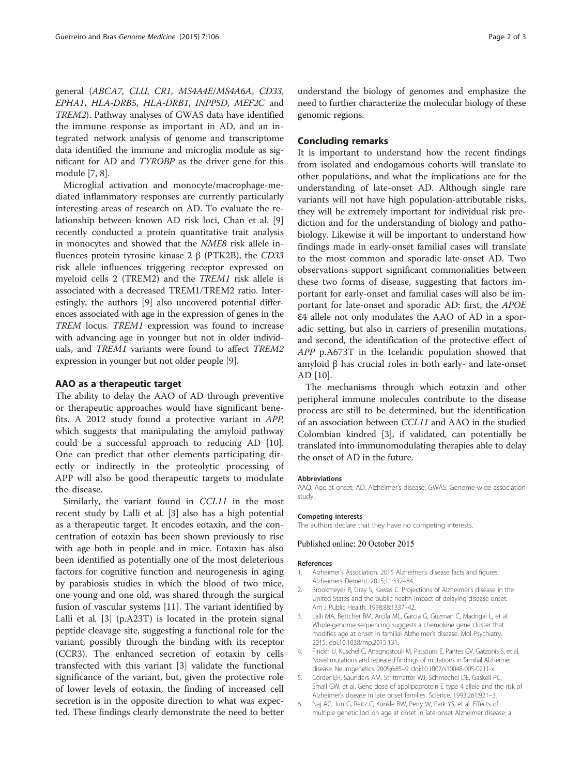<span id="page-1-0"></span>general (ABCA7, CLU, CR1, MS4A4E/MS4A6A, CD33, EPHA1, HLA-DRB5, HLA-DRB1, INPP5D, MEF2C and TREM2). Pathway analyses of GWAS data have identified the immune response as important in AD, and an integrated network analysis of genome and transcriptome data identified the immune and microglia module as significant for AD and TYROBP as the driver gene for this module [[7](#page-2-0), [8](#page-2-0)].

Microglial activation and monocyte/macrophage-mediated inflammatory responses are currently particularly interesting areas of research on AD. To evaluate the relationship between known AD risk loci, Chan et al. [\[9](#page-2-0)] recently conducted a protein quantitative trait analysis in monocytes and showed that the NME8 risk allele influences protein tyrosine kinase 2 β (PTK2B), the CD33 risk allele influences triggering receptor expressed on myeloid cells 2 (TREM2) and the TREM1 risk allele is associated with a decreased TREM1/TREM2 ratio. Interestingly, the authors [\[9](#page-2-0)] also uncovered potential differences associated with age in the expression of genes in the TREM locus. TREM1 expression was found to increase with advancing age in younger but not in older individuals, and TREM1 variants were found to affect TREM2 expression in younger but not older people [\[9](#page-2-0)].

#### AAO as a therapeutic target

The ability to delay the AAO of AD through preventive or therapeutic approaches would have significant benefits. A 2012 study found a protective variant in APP, which suggests that manipulating the amyloid pathway could be a successful approach to reducing AD [\[10](#page-2-0)]. One can predict that other elements participating directly or indirectly in the proteolytic processing of APP will also be good therapeutic targets to modulate the disease.

Similarly, the variant found in CCL11 in the most recent study by Lalli et al. [3] also has a high potential as a therapeutic target. It encodes eotaxin, and the concentration of eotaxin has been shown previously to rise with age both in people and in mice. Eotaxin has also been identified as potentially one of the most deleterious factors for cognitive function and neurogenesis in aging by parabiosis studies in which the blood of two mice, one young and one old, was shared through the surgical fusion of vascular systems [\[11](#page-2-0)]. The variant identified by Lalli et al. [3] (p.A23T) is located in the protein signal peptide cleavage site, suggesting a functional role for the variant, possibly through the binding with its receptor (CCR3). The enhanced secretion of eotaxin by cells transfected with this variant [3] validate the functional significance of the variant, but, given the protective role of lower levels of eotaxin, the finding of increased cell secretion is in the opposite direction to what was expected. These findings clearly demonstrate the need to better understand the biology of genomes and emphasize the need to further characterize the molecular biology of these genomic regions.

#### Concluding remarks

It is important to understand how the recent findings from isolated and endogamous cohorts will translate to other populations, and what the implications are for the understanding of late-onset AD. Although single rare variants will not have high population-attributable risks, they will be extremely important for individual risk prediction and for the understanding of biology and pathobiology. Likewise it will be important to understand how findings made in early-onset familial cases will translate to the most common and sporadic late-onset AD. Two observations support significant commonalities between these two forms of disease, suggesting that factors important for early-onset and familial cases will also be important for late-onset and sporadic AD: first, the APOE Ɛ4 allele not only modulates the AAO of AD in a sporadic setting, but also in carriers of presenilin mutations, and second, the identification of the protective effect of APP p.A673T in the Icelandic population showed that amyloid β has crucial roles in both early- and late-onset AD [[10\]](#page-2-0).

The mechanisms through which eotaxin and other peripheral immune molecules contribute to the disease process are still to be determined, but the identification of an association between CCL11 and AAO in the studied Colombian kindred [3], if validated, can potentially be translated into immunomodulating therapies able to delay the onset of AD in the future.

#### Abbreviations

AAO: Age at onset; AD: Alzheimer's disease; GWAS: Genome-wide association study.

The authors declare that they have no competing interests.

#### Published online: 20 October 2015

#### References

- 1. Alzheimer's Association. 2015 Alzheimer's disease facts and figures. Alzheimers Dement. 2015;11:332–84.
- 2. Brookmeyer R, Gray S, Kawas C. Projections of Alzheimer's disease in the United States and the public health impact of delaying disease onset. Am J Public Health. 1998;88:1337–42.
- 3. Lalli MA, Bettcher BM, Arcila ML, Garcia G, Guzman C, Madrigal L, et al. Whole-genome sequencing suggests a chemokine gene cluster that modifies age at onset in familial Alzheimer's disease. Mol Psychiatry. 2015. doi[:10.1038/mp.2015.131](http://dx.doi.org/10.1038/mp.2015.131).
- 4. Finckh U, Kuschel C, Anagnostouli M, Patsouris E, Pantes GV, Gatzonis S, et al. Novel mutations and repeated findings of mutations in familial Alzheimer disease. Neurogenetics. 2005;6:85–9. doi[:10.1007/s10048-005-0211-x.](http://dx.doi.org/10.1007/s10048-005-0211-x)
- 5. Corder EH, Saunders AM, Strittmatter WJ, Schmechel DE, Gaskell PC, Small GW, et al. Gene dose of apolipoprotein E type 4 allele and the risk of Alzheimer's disease in late onset families. Science. 1993;261:921–3.
- 6. Naj AC, Jun G, Reitz C, Kunkle BW, Perry W, Park YS, et al. Effects of multiple genetic loci on age at onset in late-onset Alzheimer disease: a